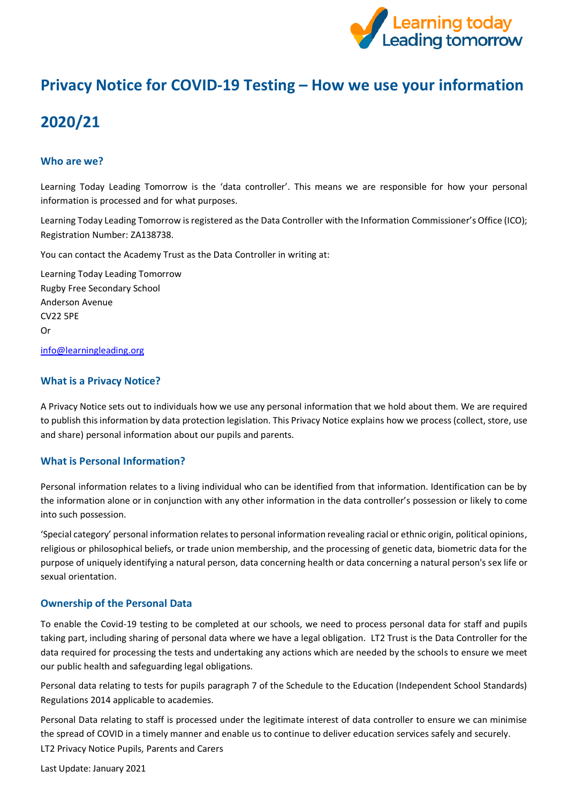

## **Privacy Notice for COVID-19 Testing – How we use your information**

# **2020/21**

## **Who are we?**

Learning Today Leading Tomorrow is the 'data controller'. This means we are responsible for how your personal information is processed and for what purposes.

Learning Today Leading Tomorrow is registered as the Data Controller with the Information Commissioner's Office (ICO); Registration Number: ZA138738.

You can contact the Academy Trust as the Data Controller in writing at:

Learning Today Leading Tomorrow Rugby Free Secondary School Anderson Avenue CV22 5PE Or

[info@learningleading.org](https://rfps-my.sharepoint.com/personal/georgina_langley_learningleading_org/Documents/GDPR/Privacy%20Notice/Parent-Carer%20Privacy%20Notices/info@learningleading.org)

## **What is a Privacy Notice?**

A Privacy Notice sets out to individuals how we use any personal information that we hold about them. We are required to publish this information by data protection legislation. This Privacy Notice explains how we process (collect, store, use and share) personal information about our pupils and parents.

## **What is Personal Information?**

Personal information relates to a living individual who can be identified from that information. Identification can be by the information alone or in conjunction with any other information in the data controller's possession or likely to come into such possession.

'Special category' personal information relates to personal information revealing racial or ethnic origin, political opinions, religious or philosophical beliefs, or trade union membership, and the processing of genetic data, biometric data for the purpose of uniquely identifying a natural person, data concerning health or data concerning a natural person's sex life or sexual orientation.

## **Ownership of the Personal Data**

To enable the Covid-19 testing to be completed at our schools, we need to process personal data for staff and pupils taking part, including sharing of personal data where we have a legal obligation. LT2 Trust is the Data Controller for the data required for processing the tests and undertaking any actions which are needed by the schools to ensure we meet our public health and safeguarding legal obligations.

Personal data relating to tests for pupils paragraph 7 of the Schedule to the Education (Independent School Standards) Regulations 2014 applicable to academies.

LT2 Privacy Notice Pupils, Parents and Carers Personal Data relating to staff is processed under the legitimate interest of data controller to ensure we can minimise the spread of COVID in a timely manner and enable us to continue to deliver education services safely and securely.

Last Update: January 2021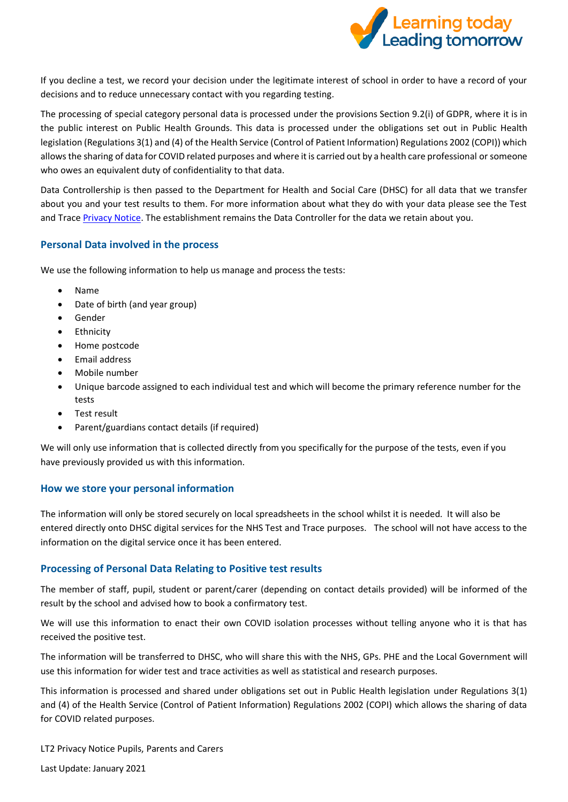

If you decline a test, we record your decision under the legitimate interest of school in order to have a record of your decisions and to reduce unnecessary contact with you regarding testing.

The processing of special category personal data is processed under the provisions Section 9.2(i) of GDPR, where it is in the public interest on Public Health Grounds. This data is processed under the obligations set out in Public Health legislation (Regulations 3(1) and (4) of the Health Service (Control of Patient Information) Regulations 2002 (COPI)) which allows the sharing of data for COVID related purposes and where it is carried out by a health care professional or someone who owes an equivalent duty of confidentiality to that data.

Data Controllership is then passed to the Department for Health and Social Care (DHSC) for all data that we transfer about you and your test results to them. For more information about what they do with your data please see the Test and Trace [Privacy Notice.](https://contact-tracing.phe.gov.uk/help/privacy-notice) The establishment remains the Data Controller for the data we retain about you.

## **Personal Data involved in the process**

We use the following information to help us manage and process the tests:

- Name
- Date of birth (and year group)
- **Gender**
- **Fthnicity**
- Home postcode
- Email address
- Mobile number
- Unique barcode assigned to each individual test and which will become the primary reference number for the tests
- Test result
- Parent/guardians contact details (if required)

We will only use information that is collected directly from you specifically for the purpose of the tests, even if you have previously provided us with this information.

## **How we store your personal information**

The information will only be stored securely on local spreadsheets in the school whilst it is needed. It will also be entered directly onto DHSC digital services for the NHS Test and Trace purposes. The school will not have access to the information on the digital service once it has been entered.

## **Processing of Personal Data Relating to Positive test results**

The member of staff, pupil, student or parent/carer (depending on contact details provided) will be informed of the result by the school and advised how to book a confirmatory test.

We will use this information to enact their own COVID isolation processes without telling anyone who it is that has received the positive test.

The information will be transferred to DHSC, who will share this with the NHS, GPs. PHE and the Local Government will use this information for wider test and trace activities as well as statistical and research purposes.

This information is processed and shared under obligations set out in Public Health legislation under Regulations 3(1) and (4) of the Health Service (Control of Patient Information) Regulations 2002 (COPI) which allows the sharing of data for COVID related purposes.

LT2 Privacy Notice Pupils, Parents and Carers

Last Update: January 2021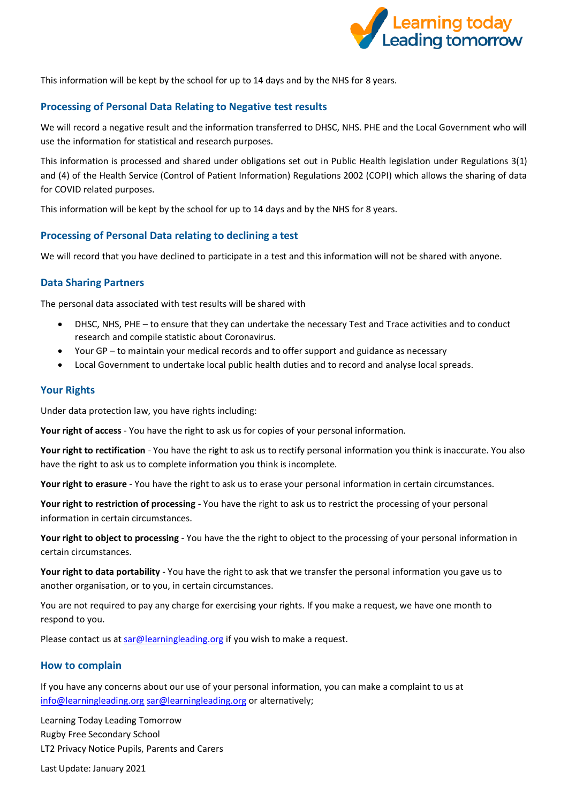

This information will be kept by the school for up to 14 days and by the NHS for 8 years.

## **Processing of Personal Data Relating to Negative test results**

We will record a negative result and the information transferred to DHSC, NHS. PHE and the Local Government who will use the information for statistical and research purposes.

This information is processed and shared under obligations set out in Public Health legislation under Regulations 3(1) and (4) of the Health Service (Control of Patient Information) Regulations 2002 (COPI) which allows the sharing of data for COVID related purposes.

This information will be kept by the school for up to 14 days and by the NHS for 8 years.

## **Processing of Personal Data relating to declining a test**

We will record that you have declined to participate in a test and this information will not be shared with anyone.

#### **Data Sharing Partners**

The personal data associated with test results will be shared with

- DHSC, NHS, PHE to ensure that they can undertake the necessary Test and Trace activities and to conduct research and compile statistic about Coronavirus.
- Your GP to maintain your medical records and to offer support and guidance as necessary
- Local Government to undertake local public health duties and to record and analyse local spreads.

#### **Your Rights**

Under data protection law, you have rights including:

**Your right of access** - You have the right to ask us for copies of your personal information.

**Your right to rectification** - You have the right to ask us to rectify personal information you think is inaccurate. You also have the right to ask us to complete information you think is incomplete.

**Your right to erasure** - You have the right to ask us to erase your personal information in certain circumstances.

**Your right to restriction of processing** - You have the right to ask us to restrict the processing of your personal information in certain circumstances.

**Your right to object to processing** - You have the the right to object to the processing of your personal information in certain circumstances.

**Your right to data portability** - You have the right to ask that we transfer the personal information you gave us to another organisation, or to you, in certain circumstances.

You are not required to pay any charge for exercising your rights. If you make a request, we have one month to respond to you.

Please contact us a[t sar@learningleading.org](mailto:sar@learningleading.org) if you wish to make a request.

## **How to complain**

If you have any concerns about our use of your personal information, you can make a complaint to us at [info@learningleading.org](mailto:info@learningleading.org) [sar@learningleading.org](mailto:sar@learningleading.org) or alternatively;

LT2 Privacy Notice Pupils, Parents and Carers Learning Today Leading Tomorrow Rugby Free Secondary School

Last Update: January 2021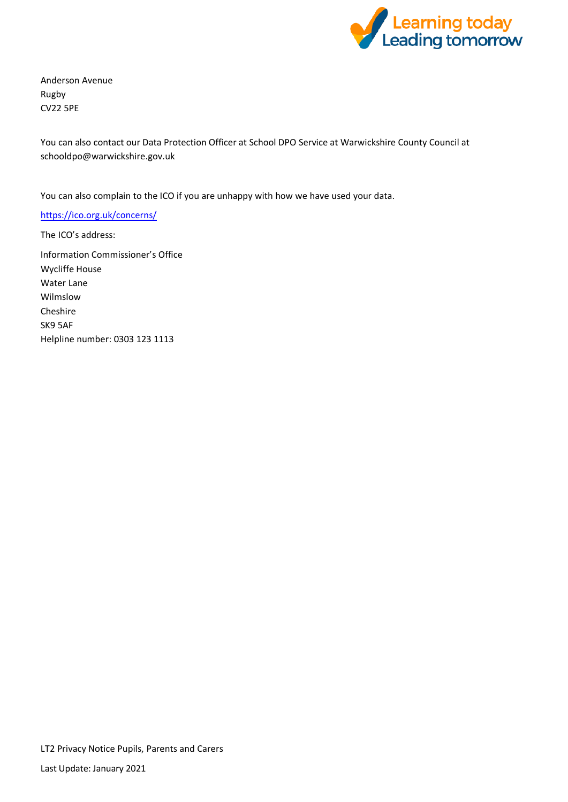

Anderson Avenue Rugby CV22 5PE

You can also contact our Data Protection Officer at School DPO Service at Warwickshire County Council at [schooldpo@warwickshire.g](mailto:schooldpo@warwickshire.ac.uk)ov.uk

You can also complain to the ICO if you are unhappy with how we have used your data.

<https://ico.org.uk/concerns/>

The ICO's address: Information Commissioner's Office Wycliffe House Water Lane Wilmslow Cheshire SK9 5AF Helpline number: 0303 123 1113